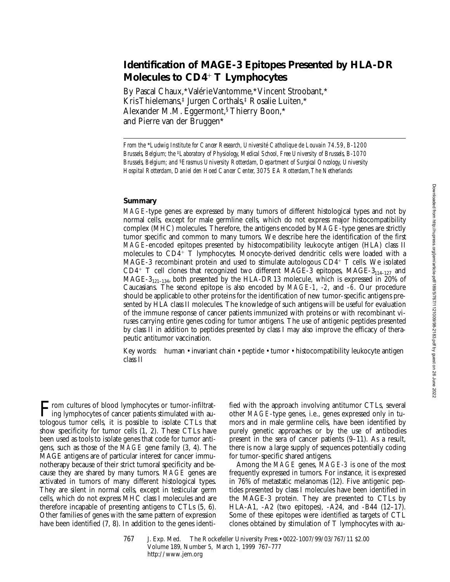# **Identification of MAGE-3 Epitopes Presented by HLA-DR Molecules to CD4**<sup>1</sup> **T Lymphocytes**

By Pascal Chaux,\* Valérie Vantomme,\* Vincent Stroobant,\* Kris Thielemans,‡ Jurgen Corthals,‡ Rosalie Luiten,\* Alexander M.M. Eggermont,§ Thierry Boon,\* and Pierre van der Bruggen\*

*From the* \**Ludwig Institute for Cancer Research, Université Catholique de Louvain 74.59, B-1200 Brussels, Belgium; the* ‡*Laboratory of Physiology, Medical School, Free University of Brussels, B-1070 Brussels, Belgium; and* §*Erasmus University Rotterdam, Department of Surgical Oncology, University Hospital Rotterdam, Daniel den Hoed Cancer Center, 3075 EA Rotterdam, The Netherlands*

# **Summary**

*MAGE*-type genes are expressed by many tumors of different histological types and not by normal cells, except for male germline cells, which do not express major histocompatibility complex (MHC) molecules. Therefore, the antigens encoded by *MAGE*-type genes are strictly tumor specific and common to many tumors. We describe here the identification of the first *MAGE*-encoded epitopes presented by histocompatibility leukocyte antigen (HLA) class II molecules to  $CD4^+$  T lymphocytes. Monocyte-derived dendritic cells were loaded with a MAGE-3 recombinant protein and used to stimulate autologous  $CD4+T$  cells. We isolated  $CD4^+$  T cell clones that recognized two different MAGE-3 epitopes, MAGE-3<sub>114–127</sub> and MAGE-3<sub>121–134</sub>, both presented by the HLA-DR13 molecule, which is expressed in 20% of Caucasians. The second epitope is also encoded by *MAGE-1*, *-2*, and -*6*. Our procedure should be applicable to other proteins for the identification of new tumor-specific antigens presented by HLA class II molecules. The knowledge of such antigens will be useful for evaluation of the immune response of cancer patients immunized with proteins or with recombinant viruses carrying entire genes coding for tumor antigens. The use of antigenic peptides presented by class II in addition to peptides presented by class I may also improve the efficacy of therapeutic antitumor vaccination.

Key words: human • invariant chain • peptide • tumor • histocompatibility leukocyte antigen class II

From cultures of blood lymphocytes or tumor-infiltrat-<br>the lymphocytes of cancer patients stimulated with autologous tumor cells, it is possible to isolate CTLs that show specificity for tumor cells (1, 2). These CTLs have been used as tools to isolate genes that code for tumor antigens, such as those of the *MAGE* gene family (3, 4). The MAGE antigens are of particular interest for cancer immunotherapy because of their strict tumoral specificity and because they are shared by many tumors. *MAGE* genes are activated in tumors of many different histological types. They are silent in normal cells, except in testicular germ cells, which do not express MHC class I molecules and are therefore incapable of presenting antigens to CTLs (5, 6). Other families of genes with the same pattern of expression have been identified (7, 8). In addition to the genes identified with the approach involving antitumor CTLs, several other *MAGE*-type genes, i.e., genes expressed only in tumors and in male germline cells, have been identified by purely genetic approaches or by the use of antibodies present in the sera of cancer patients (9–11). As a result, there is now a large supply of sequences potentially coding for tumor-specific shared antigens.

Among the *MAGE* genes, *MAGE-3* is one of the most frequently expressed in tumors. For instance, it is expressed in 76% of metastatic melanomas (12). Five antigenic peptides presented by class I molecules have been identified in the MAGE-3 protein. They are presented to CTLs by HLA-A1, -A2 (two epitopes), -A24, and -B44 (12–17). Some of these epitopes were identified as targets of CTL clones obtained by stimulation of T lymphocytes with au-

767 J. Exp. Med. © The Rockefeller University Press • 0022-1007/99/03/767/11 \$2.00 Volume 189, Number 5, March 1, 1999 767–777 http://www.jem.org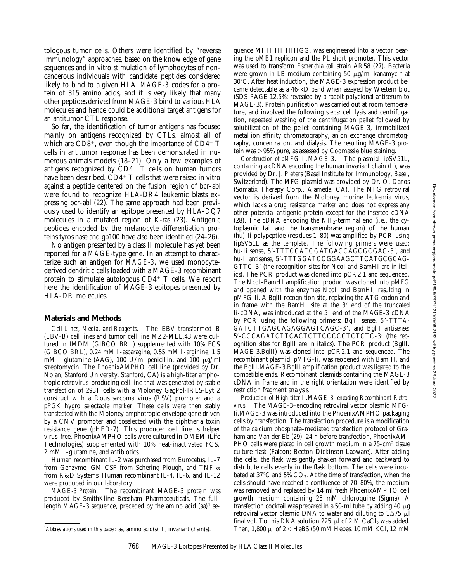tologous tumor cells. Others were identified by "reverse immunology" approaches, based on the knowledge of gene sequences and in vitro stimulation of lymphocytes of noncancerous individuals with candidate peptides considered likely to bind to a given HLA. *MAGE-3* codes for a protein of 315 amino acids, and it is very likely that many other peptides derived from MAGE-3 bind to various HLA molecules and hence could be additional target antigens for an antitumor CTL response.

So far, the identification of tumor antigens has focused mainly on antigens recognized by CTLs, almost all of which are  $CD8^+$ , even though the importance of  $CD4^+$  T cells in antitumor response has been demonstrated in numerous animals models (18–21). Only a few examples of antigens recognized by  $CD4^+$  T cells on human tumors have been described.  $\text{CD4}^+$  T cells that were raised in vitro against a peptide centered on the fusion region of bcr-abl were found to recognize HLA-DR4 leukemic blasts expressing bcr-abl (22). The same approach had been previously used to identify an epitope presented by HLA-DQ7 molecules in a mutated region of K-*ras* (23). Antigenic peptides encoded by the melanocyte differentiation proteins tyrosinase and gp100 have also been identified (24–26).

No antigen presented by a class II molecule has yet been reported for a *MAGE-*type gene. In an attempt to characterize such an antigen for *MAGE-3*, we used monocytederived dendritic cells loaded with a MAGE-3 recombinant protein to stimulate autologous  $CD4^+$  T cells. We report here the identification of MAGE-3 epitopes presented by HLA-DR molecules.

#### **Materials and Methods**

*Cell Lines, Media, and Reagents.* The EBV-transformed B (EBV-B) cell lines and tumor cell line MZ2-MEL.43 were cultured in IMDM (GIBCO BRL) supplemented with 10% FCS (GIBCO BRL), 0.24 mM l-asparagine, 0.55 mM l-arginine, 1.5 mM l-glutamine (AAG), 100 U/ml penicillin, and 100  $\mu$ g/ml streptomycin. The PhoenixAMPHO cell line (provided by Dr. Nolan, Stanford University, Stanford, CA) is a high-titer amphotropic retrovirus–producing cell line that was generated by stable transfection of 293T cells with a Moloney GagPol-IRES-Lyt 2 construct with a Rous sarcoma virus (RSV) promoter and a pPGK hygro selectable marker. These cells were then stably transfected with the Moloney amphotropic envelope gene driven by a CMV promoter and coselected with the diphtheria toxin resistance gene (pHED-7). This producer cell line is helper virus–free. PhoenixAMPHO cells were cultured in DMEM (Life Technologies) supplemented with 10% heat-inactivated FCS, 2 mM l-glutamine, and antibiotics.

Human recombinant IL-2 was purchased from Eurocetus, IL-7 from Genzyme, GM-CSF from Schering Plough, and TNF- $\alpha$ from R&D Systems. Human recombinant IL-4, IL-6, and IL-12 were produced in our laboratory.

*MAGE-3 Protein.* The recombinant MAGE-3 protein was produced by SmithKline Beecham Pharmaceuticals. The fulllength MAGE-3 sequence, preceded by the amino acid  $(aa)^1$  se-

quence MHHHHHHHGG, was engineered into a vector bearing the pMB1 replicon and the PL short promoter. This vector was used to transform *Escherichia coli* strain AR58 (27). Bacteria were grown in LB medium containing 50  $\mu$ g/ml kanamycin at 30°C. After heat induction, the MAGE-3 expression product became detectable as a 46-kD band when assayed by Western blot (SDS-PAGE 12.5%; revealed by a rabbit polyclonal antiserum to MAGE-3). Protein purification was carried out at room temperature, and involved the following steps: cell lysis and centrifugation, repeated washing of the centrifugation pellet followed by solubilization of the pellet containing MAGE-3, immobilized metal ion affinity chromatography, anion exchange chromatography, concentration, and dialysis. The resulting MAGE-3 protein was  $>95\%$  pure, as assessed by Coomassie blue staining.

*Construction of pMFG-Ii.MAGE-3.* The plasmid IipSV51L, containing a cDNA encoding the human invariant chain (Ii), was provided by Dr. J. Pieters (Basel Institute for Immunology, Basel, Switzerland). The MFG plasmid was provided by Dr. O. Danos (Somatix Therapy Corp., Alameda, CA). The MFG retroviral vector is derived from the Moloney murine leukemia virus, which lacks a drug resistance marker and does not express any other potential antigenic protein except for the inserted cDNA (28). The cDNA encoding the  $NH_2$ -terminal end (i.e., the cytoplasmic tail and the transmembrane region) of the human (hu)-Ii polypeptide (residues 1–80) was amplified by PCR using IipSV51L as the template. The following primers were used: hu-Ii sense, 5'-TTT*CCATGG*ATGACCAGCGCGAC-3', and hu-Ii antisense, 5'-TTTGGATCCGGAAGCTTCATGCGCAG-GTTC-3' (the recognition sites for NcoI and BamHI are in italics). The PCR product was cloned into pCR2.1 and sequenced. The NcoI-BamHI amplification product was cloned into pMFG and opened with the enzymes NcoI and BamHI, resulting in pMFG-Ii. A BglII recognition site, replacing the ATG codon and in frame with the BamHI site at the 3' end of the truncated Ii-cDNA, was introduced at the 5' end of the MAGE-3 cDNA by PCR using the following primers: BglII sense, 5'-TTTA-GATCTTGAGCAGAGGAGTCAGC-3', and BglII antisense: 5'-CCCAGATCTTCACTCTTCCCCCTCTCTC-3' (the recognition sites for BglII are in italics). The PCR product (BglII. MAGE-3.BglII) was cloned into pCR2.1 and sequenced. The recombinant plasmid, pMFG-Ii, was reopened with BamHI, and the BglII.MAGE-3.BglII amplification product was ligated to the compatible ends. Recombinant plasmids containing the MAGE-3 cDNA in frame and in the right orientation were identified by restriction fragment analysis.

*Production of High-titer Ii.MAGE-3–encoding Recombinant Retrovirus.* The MAGE-3–encoding retroviral vector plasmid MFG-Ii.MAGE-3 was introduced into the PhoenixAMPHO packaging cells by transfection. The transfection procedure is a modification of the calcium phosphate–mediated transfection protocol of Graham and Van der Eb (29). 24 h before transfection, PhoenixAM-PHO cells were plated in cell growth medium in a 75-cm<sup>2</sup> tissue culture flask (Falcon; Becton Dickinson Labware). After adding the cells, the flask was gently shaken forward and backward to distribute cells evenly in the flask bottom. The cells were incubated at  $37^{\circ}$ C and  $5\%$  CO<sub>2</sub>. At the time of transfection, when the cells should have reached a confluence of 70–80%, the medium was removed and replaced by 14 ml fresh PhoenixAMPHO cell growth medium containing 25 mM chloroquine (Sigma). A transfection cocktail was prepared in a 50-ml tube by adding 40  $\mu$ g retroviral vector plasmid DNA to water and diluting to  $1,575 \mu$ l final vol. To this DNA solution 225  $\mu$ l of 2 M CaCl<sub>2</sub> was added. <sup>1</sup>Abbreviations used in this paper: aa, amino acid(s); Ii, invariant chain(s). Then,  $1,800 \mu$  of  $2 \times$  HeBS (50 mM Hepes, 10 mM KCl, 12 mM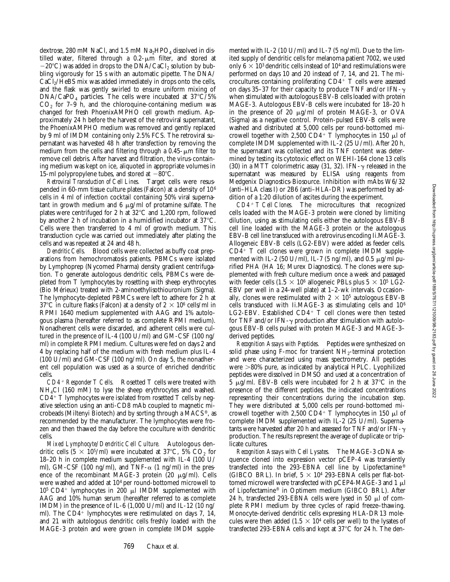dextrose, 280 mM NaCl, and 1.5 mM  $Na<sub>2</sub>HPO<sub>4</sub>$  dissolved in distilled water, filtered through a  $0.2$ - $\mu$ m filter, and stored at  $-20^{\circ}$ C) was added in drops to the DNA/CaCl<sub>2</sub> solution by bubbling vigorously for 15 s with an automatic pipette. The DNA/ CaCl<sub>2</sub>/HeBS mix was added immediately in drops onto the cells, and the flask was gently swirled to ensure uniform mixing of  $DNA/CaPO<sub>4</sub>$  particles. The cells were incubated at 37°C/5%  $CO<sub>2</sub>$  for 7–9 h, and the chloroquine-containing medium was changed for fresh PhoenixAMPHO cell growth medium. Approximately 24 h before the harvest of the retroviral supernatant, the PhoenixAMPHO medium was removed and gently replaced by 9 ml of IMDM containing only 2.5% FCS. The retroviral supernatant was harvested 48 h after transfection by removing the medium from the cells and filtering through a  $0.45$ - $\mu$ m filter to remove cell debris. After harvest and filtration, the virus-containing medium was kept on ice, aliquoted in appropriate volumes in 15-ml polypropylene tubes, and stored at  $-80^{\circ}$ C.

*Retroviral Transduction of Cell Lines.* Target cells were resuspended in 60-mm tissue culture plates (Falcon) at a density of 106 cells in 4 ml of infection cocktail containing 50% viral supernatant in growth medium and  $6 \mu g/ml$  of protamine sulfate. The plates were centrifuged for 2 h at  $32^{\circ}$ C and 1,200 rpm, followed by another 2 h of incubation in a humidified incubator at  $37^{\circ}$ C. Cells were then transferred to 4 ml of growth medium. This transduction cycle was carried out immediately after plating the cells and was repeated at 24 and 48 h.

*Dendritic Cells.* Blood cells were collected as buffy coat preparations from hemochromatosis patients. PBMCs were isolated by Lymphoprep (Nycomed Pharma) density gradient centrifugation. To generate autologous dendritic cells, PBMCs were depleted from T lymphocytes by rosetting with sheep erythrocytes (Bio Mérieux) treated with 2-aminoethylisothiouronium (Sigma). The lymphocyte-depleted PBMCs were left to adhere for 2 h at 37°C in culture flasks (Falcon) at a density of  $2 \times 10^6$  cells/ml in RPMI 1640 medium supplemented with AAG and 1% autologous plasma (hereafter referred to as complete RPMI medium). Nonadherent cells were discarded, and adherent cells were cultured in the presence of IL-4 (100 U/ml) and GM-CSF (100 ng/ ml) in complete RPMI medium. Cultures were fed on days 2 and 4 by replacing half of the medium with fresh medium plus IL-4 (100 U/ml) and GM-CSF (100 ng/ml). On day 5, the nonadherent cell population was used as a source of enriched dendritic cells.

*CD4*1 *Responder T Cells.* Rosetted T cells were treated with NH<sub>4</sub>Cl (160 mM) to lyse the sheep erythrocytes and washed.  $CD4$ <sup>+</sup> T lymphocytes were isolated from rosetted T cells by negative selection using an anti-CD8 mAb coupled to magnetic microbeads (Miltenyi Biotech) and by sorting through a MACS®, as recommended by the manufacturer. The lymphocytes were frozen and then thawed the day before the coculture with dendritic cells.

*Mixed Lymphocyte/Dendritic Cell Culture.* Autologous dendritic cells  $(5 \times 10^5/\text{ml})$  were incubated at 37°C, 5% CO<sub>2</sub> for 18–20 h in complete medium supplemented with IL-4 (100 U/ ml), GM-CSF (100 ng/ml), and TNF- $\alpha$  (1 ng/ml) in the presence of the recombinant MAGE-3 protein  $(20 \mu g/ml)$ . Cells were washed and added at 104 per round-bottomed microwell to  $10^5$  CD4<sup>+</sup> lymphocytes in 200  $\mu$ l IMDM supplemented with AAG and 10% human serum (hereafter referred to as complete IMDM) in the presence of IL-6  $(1,000 \text{ U/ml})$  and IL-12  $(10 \text{ ng/m})$ ml). The  $CD4^+$  lymphocytes were restimulated on days 7, 14, and 21 with autologous dendritic cells freshly loaded with the MAGE-3 protein and were grown in complete IMDM supplemented with IL-2 (10 U/ml) and IL-7 (5 ng/ml). Due to the limited supply of dendritic cells for melanoma patient 7002, we used only  $6 \times 10^3$  dendritic cells instead of 10<sup>4</sup> and restimulations were performed on days 10 and 20 instead of 7, 14, and 21. The microcultures containing proliferating  $CD4+T$  cells were assessed on days 35–37 for their capacity to produce TNF and/or IFN- $\gamma$ when stimulated with autologous EBV-B cells loaded with protein MAGE-3. Autologous EBV-B cells were incubated for 18–20 h in the presence of 20  $\mu$ g/ml of protein MAGE-3, or OVA (Sigma) as a negative control. Protein-pulsed EBV-B cells were washed and distributed at 5,000 cells per round-bottomed microwell together with 2,500 CD4<sup>+</sup> T lymphocytes in 150  $\mu$ l of complete IMDM supplemented with IL-2 (25 U/ml). After 20 h, the supernatant was collected and its TNF content was determined by testing its cytotoxic effect on WEHI-164 clone 13 cells (30) in a MTT colorimetric assay (31, 32). IFN- $\gamma$  released in the supernatant was measured by ELISA using reagents from Medgenix Diagnostics-Biosource. Inhibition with mAbs W6/32 (anti–HLA class I) or 2B6 (anti–HLA-DR) was performed by addition of a 1:20 dilution of ascites during the experiment.

*CD4*1 *T Cell Clones.* The microcultures that recognized cells loaded with the MAGE-3 protein were cloned by limiting dilution, using as stimulating cells either the autologous EBV-B cell line loaded with the MAGE-3 protein or the autologous EBV-B cell line transduced with a retrovirus encoding Ii.MAGE-3. Allogeneic EBV-B cells (LG2-EBV) were added as feeder cells.  $CD4+$  T cell clones were grown in complete IMDM supplemented with IL-2 (50 U/ml), IL-7 (5 ng/ml), and 0.5  $\mu$ g/ml purified PHA (HA 16; Murex Diagnostics). The clones were supplemented with fresh culture medium once a week and passaged with feeder cells (1.5  $\times$  10<sup>6</sup> allogeneic PBLs plus 5  $\times$  10<sup>5</sup> LG2-EBV per well in a 24-well plate) at 1–2-wk intervals. Occasionally, clones were restimulated with  $2 \times 10^5$  autologous EBV-B cells transduced with Ii.MAGE-3 as stimulating cells and 106 LG2-EBV. Established CD4+ T cell clones were then tested for TNF and/or IFN- $\gamma$  production after stimulation with autologous EBV-B cells pulsed with protein MAGE-3 and MAGE-3– derived peptides.

*Recognition Assays with Peptides.* Peptides were synthesized on solid phase using  $F$ -moc for transient  $NH_2$ -terminal protection and were characterized using mass spectrometry. All peptides were  $>80\%$  pure, as indicated by analytical HPLC. Lyophilized peptides were dissolved in DMSO and used at a concentration of 5  $\mu$ g/ml. EBV-B cells were incubated for 2 h at 37 $\degree$ C in the presence of the different peptides, the indicated concentrations representing their concentrations during the incubation step. They were distributed at 5,000 cells per round-bottomed microwell together with 2,500 CD4<sup>+</sup> T lymphocytes in 150  $\mu$ l of complete IMDM supplemented with IL-2 (25 U/ml). Supernatants were harvested after 20 h and assessed for TNF and/or  $IFN-\gamma$ production. The results represent the average of duplicate or triplicate cultures.

*Recognition Assays with Cell Lysates.* The MAGE-3 cDNA sequence cloned into expression vector pCEP-4 was transiently transfected into the 293-EBNA cell line by Lipofectamine® (GIBCO BRL). In brief,  $5 \times 10^4$  293-EBNA cells per flat-bottomed microwell were transfected with  $pCEP4-MAGE-3$  and 1  $\mu$ l of Lipofectamine® in Optimem medium (GIBCO BRL). After 24 h, transfected 293-EBNA cells were lysed in 50  $\mu$ l of complete RPMI medium by three cycles of rapid freeze–thawing. Monocyte-derived dendritic cells expressing HLA-DR13 molecules were then added  $(1.5 \times 10^4 \text{ cells per well})$  to the lysates of transfected 293-EBNA cells and kept at  $37^{\circ}$ C for 24 h. The den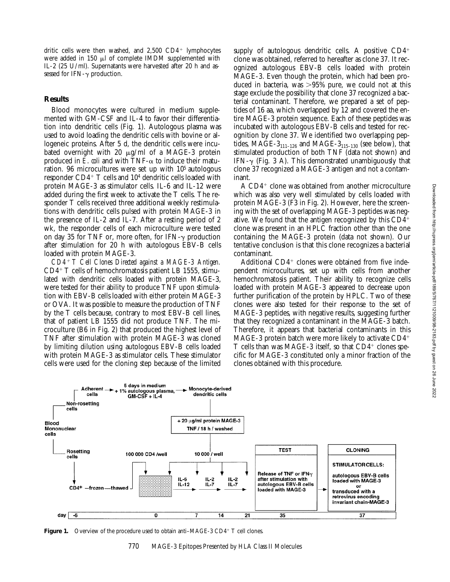dritic cells were then washed, and  $2.500$  CD4<sup>+</sup> lymphocytes were added in 150  $\mu$ l of complete IMDM supplemented with IL-2 (25 U/ml). Supernatants were harvested after 20 h and assessed for IFN- $\gamma$  production.

### **Results**

Blood monocytes were cultured in medium supplemented with GM-CSF and IL-4 to favor their differentiation into dendritic cells (Fig. 1). Autologous plasma was used to avoid loading the dendritic cells with bovine or allogeneic proteins. After 5 d, the dendritic cells were incubated overnight with 20  $\mu$ g/ml of a MAGE-3 protein produced in  $E$ . *coli* and with TNF- $\alpha$  to induce their maturation. 96 microcultures were set up with 10<sup>5</sup> autologous responder  $CD4+T$  cells and  $10<sup>4</sup>$  dendritic cells loaded with protein MAGE-3 as stimulator cells. IL-6 and IL-12 were added during the first week to activate the T cells. The responder T cells received three additional weekly restimulations with dendritic cells pulsed with protein MAGE-3 in the presence of IL-2 and IL-7. After a resting period of 2 wk, the responder cells of each microculture were tested on day 35 for TNF or, more often, for IFN- $\gamma$  production after stimulation for 20 h with autologous EBV-B cells loaded with protein MAGE-3.

*CD4*<sup>1</sup> *T Cell Clones Directed against a MAGE-3 Antigen.*  $CD4+T$  cells of hemochromatosis patient LB 1555, stimulated with dendritic cells loaded with protein MAGE-3, were tested for their ability to produce TNF upon stimulation with EBV-B cells loaded with either protein MAGE-3 or OVA. It was possible to measure the production of TNF by the T cells because, contrary to most EBV-B cell lines, that of patient LB 1555 did not produce TNF. The microculture (B6 in Fig. 2) that produced the highest level of TNF after stimulation with protein MAGE-3 was cloned by limiting dilution using autologous EBV-B cells loaded with protein MAGE-3 as stimulator cells. These stimulator cells were used for the cloning step because of the limited

supply of autologous dendritic cells. A positive  $CD4$ <sup>+</sup> clone was obtained, referred to hereafter as clone 37. It recognized autologous EBV-B cells loaded with protein MAGE-3. Even though the protein, which had been produced in bacteria, was  $>95\%$  pure, we could not at this stage exclude the possibility that clone 37 recognized a bacterial contaminant. Therefore, we prepared a set of peptides of 16 aa, which overlapped by 12 and covered the entire MAGE-3 protein sequence. Each of these peptides was incubated with autologous EBV-B cells and tested for recognition by clone 37. We identified two overlapping peptides, MAGE-3<sub>111-126</sub> and MAGE-3<sub>115-130</sub> (see below), that stimulated production of both TNF (data not shown) and IFN- $\gamma$  (Fig. 3 A). This demonstrated unambiguously that clone 37 recognized a MAGE-3 antigen and not a contaminant.

A CD4<sup>+</sup> clone was obtained from another microculture which was also very well stimulated by cells loaded with protein MAGE-3 (F3 in Fig. 2). However, here the screening with the set of overlapping MAGE-3 peptides was negative. We found that the antigen recognized by this  $CD4<sup>+</sup>$ clone was present in an HPLC fraction other than the one containing the MAGE-3 protein (data not shown). Our tentative conclusion is that this clone recognizes a bacterial contaminant.

Additional  $CD4<sup>+</sup>$  clones were obtained from five independent microcultures, set up with cells from another hemochromatosis patient. Their ability to recognize cells loaded with protein MAGE-3 appeared to decrease upon further purification of the protein by HPLC. Two of these clones were also tested for their response to the set of MAGE-3 peptides, with negative results, suggesting further that they recognized a contaminant in the MAGE-3 batch. Therefore, it appears that bacterial contaminants in this MAGE-3 protein batch were more likely to activate  $CD4^+$ T cells than was MAGE-3 itself, so that  $CD4^+$  clones specific for MAGE-3 constituted only a minor fraction of the clones obtained with this procedure.



**Figure 1.** Overview of the procedure used to obtain anti–MAGE-3 CD4<sup>+</sup> T cell clones.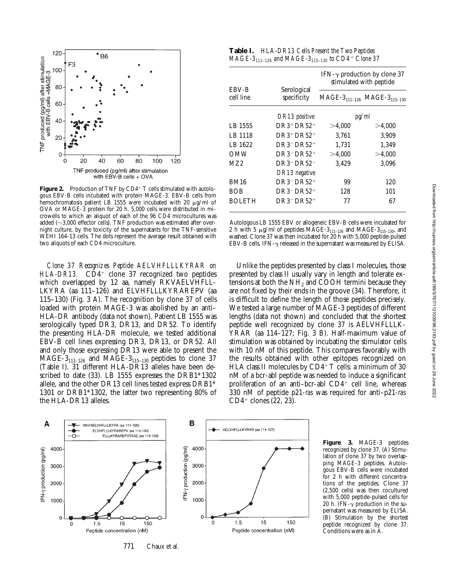

**Figure 2.** Production of TNF by CD4+ T cells stimulated with autologous EBV-B cells incubated with protein MAGE-3. EBV-B cells from hemochromatosis patient LB 1555 were incubated with 20  $\mu$ g/ml of OVA or MAGE-3 protein for 20 h. 5,000 cells were distributed in microwells to which an aliquot of each of the 96 CD4 microcultures was added  $(\sim3,000$  effector cells). TNF production was estimated after overnight culture, by the toxicity of the supernatants for the TNF-sensitive WEHI 164-13 cells. The dots represent the average result obtained with two aliquots of each CD4 microculture.

*Clone 37 Recognizes Peptide AELVHFLLLKYRAR on HLA-DR13.* CD4<sup>+</sup> clone 37 recognized two peptides which overlapped by 12 aa, namely RKVAELVHFLL-LKYRA (aa 111–126) and ELVHFLLLKYRAREPV (aa 115–130) (Fig. 3 A). The recognition by clone 37 of cells loaded with protein MAGE-3 was abolished by an anti– HLA-DR antibody (data not shown). Patient LB 1555 was serologically typed DR3, DR13, and DR52. To identify the presenting HLA-DR molecule, we tested additional EBV-B cell lines expressing DR3, DR13, or DR52. All and only those expressing DR13 were able to present the MAGE-3<sub>111-126</sub> and MAGE-3<sub>115-130</sub> peptides to clone 37 (Table I). 31 different HLA-DR13 alleles have been described to date (33). LB 1555 expresses the DRB1\*1302 allele, and the other DR13 cell lines tested express DRB1\* 1301 or DRB1\*1302, the latter two representing 80% of the HLA-DR13 alleles.

**Table I.** *HLA-DR13 Cells Present the Two Peptides MAGE-3*<sub>111–126</sub> and *MAGE-3*<sub>115–130</sub> to  $CD4^+$  Clone 37

| EBV-B         | Serological<br>specificity             | IFN- $\gamma$ production by clone 37<br>stimulated with peptide |                                                     |
|---------------|----------------------------------------|-----------------------------------------------------------------|-----------------------------------------------------|
| cell line     |                                        |                                                                 | MAGE-3 <sub>111-126</sub> MAGE-3 <sub>115-130</sub> |
|               | DR13 positive                          | pg/ml                                                           |                                                     |
| LB 1555       | $DR3+DR52+$                            | >4,000                                                          | >4,000                                              |
| LB 1118       | $DR3+DR52+$                            | 3.761                                                           | 3.909                                               |
| LB 1622       | $DR3-DR52+$                            | 1,731                                                           | 1,349                                               |
| <b>OMW</b>    | $DR3-DR52+$                            | >4.000                                                          | >4.000                                              |
| MZ2.          | DR3-DR52-                              | 3.429                                                           | 3.096                                               |
|               | DR13 negative                          |                                                                 |                                                     |
| <b>BM16</b>   | $DR3$ <sup>-</sup> $DR52$ <sup>+</sup> | 99                                                              | 120                                                 |
| <b>BOB</b>    | $DR3-DR52+$                            | 128                                                             | 101                                                 |
| <b>BOLETH</b> | DR3-DR52+                              | 77                                                              | 67                                                  |

Autologous LB 1555 EBV or allogeneic EBV-B cells were incubated for 2 h with 5  $\mu$ g/ml of peptides MAGE-3<sub>111-126</sub> and MAGE-3<sub>115-130</sub>, and washed. Clone 37 was then incubated for 20 h with 5,000 peptide-pulsed EBV-B cells. IFN- $\gamma$  released in the supernatant was measured by ELISA.

Unlike the peptides presented by class I molecules, those presented by class II usually vary in length and tolerate extensions at both the  $NH<sub>2</sub>$  and COOH termini because they are not fixed by their ends in the groove (34). Therefore, it is difficult to define the length of those peptides precisely. We tested a large number of MAGE-3 peptides of different lengths (data not shown) and concluded that the shortest peptide well recognized by clone 37 is AELVHFLLLK-YRAR (aa 114–127; Fig. 3 B). Half-maximum value of stimulation was obtained by incubating the stimulator cells with 10 nM of this peptide. This compares favorably with the results obtained with other epitopes recognized on HLA class II molecules by  $CD4+T$  cells: a minimum of 30 nM of a bcr-abl peptide was needed to induce a significant proliferation of an anti-bcr-abl  $CD4^+$  cell line, whereas 330 nM of peptide p21-*ras* was required for anti–p21-*ras*  $CD4^+$  clones (22, 23).



recognized by clone 37. (A) Stimulation of clone 37 by two overlapping MAGE-3 peptides. Autologous EBV-B cells were incubated for 2 h with different concentrations of the peptides. Clone 37 (2,500 cells) was then cocultured with 5,000 peptide-pulsed cells for 20 h. IFN- $\gamma$  production in the supernatant was measured by ELISA. (B) Stimulation by the shortest peptide recognized by clone 37. Conditions were as in A.

**Figure 3.** MAGE-3 peptides

771 Chaux et al.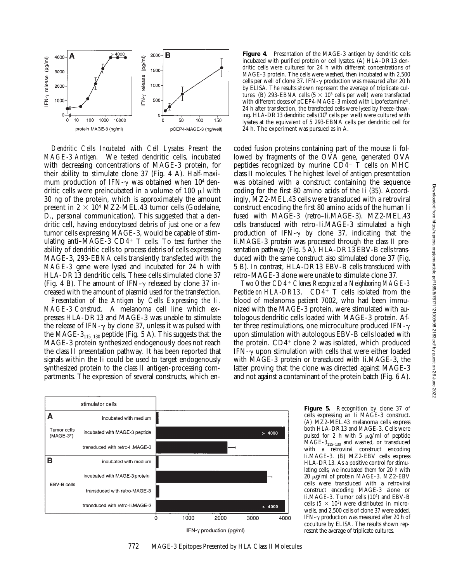

*Dendritic Cells Incubated with Cell Lysates Present the MAGE-3 Antigen.* We tested dendritic cells, incubated with decreasing concentrations of MAGE-3 protein, for their ability to stimulate clone 37 (Fig. 4 A). Half-maximum production of IFN- $\gamma$  was obtained when 10<sup>4</sup> dendritic cells were preincubated in a volume of 100  $\mu$ l with 30 ng of the protein, which is approximately the amount present in  $2 \times 10^4$  MZ2-MEL.43 tumor cells (Godelaine, D., personal communication). This suggested that a dendritic cell, having endocytosed debris of just one or a few tumor cells expressing MAGE-3, would be capable of stimulating anti-MAGE-3  $CD4^+$  T cells. To test further the ability of dendritic cells to process debris of cells expressing MAGE-3, 293-EBNA cells transiently transfected with the *MAGE-3* gene were lysed and incubated for 24 h with HLA-DR13 dendritic cells. These cells stimulated clone 37 (Fig. 4 B). The amount of IFN- $\gamma$  released by clone 37 increased with the amount of plasmid used for the transfection.

*Presentation of the Antigen by Cells Expressing the Ii. MAGE-3 Construct.* A melanoma cell line which expresses HLA-DR13 and MAGE-3 was unable to stimulate the release of IFN- $\gamma$  by clone 37, unless it was pulsed with the MAGE- $3_{115-130}$  peptide (Fig. 5 A). This suggests that the MAGE-3 protein synthesized endogenously does not reach the class II presentation pathway. It has been reported that signals within the Ii could be used to target endogenously synthesized protein to the class II antigen-processing compartments. The expression of several constructs, which en-

**Figure 4.** Presentation of the MAGE-3 antigen by dendritic cells incubated with purified protein or cell lysates. (A) HLA-DR13 dendritic cells were cultured for 24 h with different concentrations of MAGE-3 protein. The cells were washed, then incubated with 2,500 cells per well of clone 37. IFN- $\gamma$  production was measured after 20 h by ELISA. The results shown represent the average of triplicate cultures. (B) 293-EBNA cells  $(5 \times 10^5 \text{ cells per well})$  were transfected with different doses of pCEP4-MAGE-3 mixed with Lipofectamine®. 24 h after transfection, the transfected cells were lysed by freeze–thawing. HLA-DR13 dendritic cells (105 cells per well) were cultured with lysates at the equivalent of 5 293-EBNA cells per dendritic cell for 24 h. The experiment was pursued as in A.

coded fusion proteins containing part of the mouse Ii followed by fragments of the OVA gene, generated OVA peptides recognized by murine  $CD4^+$  T cells on MHC class II molecules. The highest level of antigen presentation was obtained with a construct containing the sequence coding for the first 80 amino acids of the Ii (35). Accordingly, MZ2-MEL.43 cells were transduced with a retroviral construct encoding the first 80 amino acids of the human Ii fused with MAGE-3 (retro–Ii.MAGE-3). MZ2-MEL.43 cells transduced with retro–Ii.MAGE-3 stimulated a high production of IFN- $\gamma$  by clone 37, indicating that the Ii.MAGE-3 protein was processed through the class II presentation pathway (Fig. 5 A). HLA-DR13 EBV-B cells transduced with the same construct also stimulated clone 37 (Fig. 5 B). In contrast, HLA-DR13 EBV-B cells transduced with retro–MAGE-3 alone were unable to stimulate clone 37.

*Two Other CD4*1 *Clones Recognized a Neighboring MAGE-3 Peptide on HLA-DR13.*  $CD4^+$  T cells isolated from the blood of melanoma patient 7002, who had been immunized with the MAGE-3 protein, were stimulated with autologous dendritic cells loaded with MAGE-3 protein. After three restimulations, one microculture produced IFN- $\gamma$ upon stimulation with autologous EBV-B cells loaded with the protein.  $CD4^+$  clone 2 was isolated, which produced IFN- $\gamma$  upon stimulation with cells that were either loaded with MAGE-3 protein or transduced with Ii.MAGE-3, the latter proving that the clone was directed against MAGE-3 and not against a contaminant of the protein batch (Fig. 6 A).



IFN-γ production (pg/ml)

**Figure 5.** Recognition by clone 37 of cells expressing an Ii MAGE-3 construct. (A) MZ2-MEL.43 melanoma cells express both HLA-DR13 and MAGE-3. Cells were pulsed for 2 h with 5  $\mu$ g/ml of peptide  $MAGE-3<sub>115-130</sub>$  and washed, or transduced with a retroviral construct encoding Ii.MAGE-3. (B) MZ2-EBV cells express HLA-DR13. As a positive control for stimulating cells, we incubated them for 20 h with 20 mg/ml of protein MAGE-3. MZ2-EBV cells were transduced with a retroviral construct encoding MAGE-3 alone or Ii.MAGE-3. Tumor cells (104) and EBV-B cells  $(5 \times 10^3)$  were distributed in microwells, and 2,500 cells of clone 37 were added. IFN- $\gamma$  production was measured after 20 h of coculture by ELISA. The results shown represent the average of triplicate cultures.

772 MAGE-3 Epitopes Presented by HLA Class II Molecules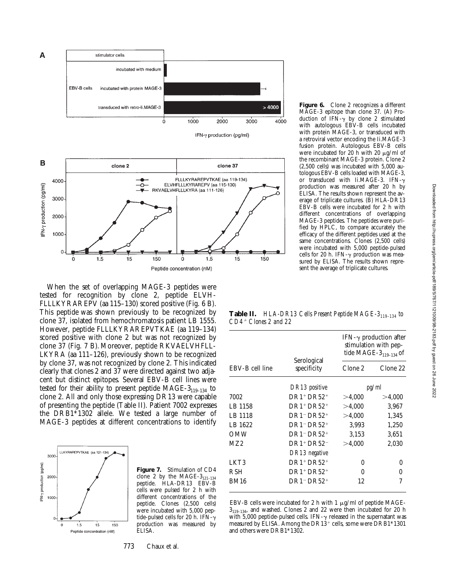

IFN-y production (pg/ml)



When the set of overlapping MAGE-3 peptides were tested for recognition by clone 2, peptide ELVH-FLLLKYRAREPV (aa 115–130) scored positive (Fig. 6 B). This peptide was shown previously to be recognized by clone 37, isolated from hemochromatosis patient LB 1555. However, peptide FLLLKYRAREPVTKAE (aa 119–134) scored positive with clone 2 but was not recognized by clone 37 (Fig. 7 B). Moreover, peptide RKVAELVHFLL-LKYRA (aa 111–126), previously shown to be recognized by clone 37, was not recognized by clone 2. This indicated clearly that clones 2 and 37 were directed against two adjacent but distinct epitopes. Several EBV-B cell lines were tested for their ability to present peptide  $MAGE-3_{119-134}$  to clone 2. All and only those expressing DR13 were capable of presenting the peptide (Table II). Patient 7002 expresses the DRB1\*1302 allele. We tested a large number of MAGE-3 peptides at different concentrations to identify



**Figure 7.** Stimulation of CD4 clone 2 by the MAGE- $3_{121-134}$ peptide. HLA-DR13 EBV-B cells were pulsed for 2 h with different concentrations of the peptide. Clones (2,500 cells) were incubated with 5,000 peptide-pulsed cells for 20 h. IFN-g production was measured by ELISA.

Figure 6. Clone 2 recognizes a different MAGE-3 epitope than clone 37. (A) Production of IFN- $\gamma$  by clone 2 stimulated with autologous EBV-B cells incubated with protein MAGE-3, or transduced with a retroviral vector encoding the Ii.MAGE-3 fusion protein. Autologous EBV-B cells were incubated for 20 h with 20  $\mu$ g/ml of the recombinant MAGE-3 protein. Clone 2 (2,500 cells) was incubated with 5,000 autologous EBV-B cells loaded with MAGE-3, or transduced with Ii.MAGE-3. IFN-g production was measured after 20 h by ELISA. The results shown represent the average of triplicate cultures. (B) HLA-DR13 EBV-B cells were incubated for 2 h with different concentrations of overlapping MAGE-3 peptides. The peptides were purified by HPLC, to compare accurately the efficacy of the different peptides used at the same concentrations. Clones (2,500 cells) were incubated with 5,000 peptide-pulsed cells for 20 h. IFN- $\gamma$  production was measured by ELISA. The results shown represent the average of triplicate cultures.

**Table II.** *HLA-DR13 Cells Present Peptide MAGE-3119–134 to CD4*1 *Clones 2 and 22*

|                 |                            | IFN- $\gamma$ production after<br>stimulation with pep-<br>tide MAGE- $3_{119-134}$ of |              |
|-----------------|----------------------------|----------------------------------------------------------------------------------------|--------------|
| EBV-B cell line | Serological<br>specificity | Clone 2                                                                                | Clone 22     |
|                 | DR13 positive              | pg/ml                                                                                  |              |
| 7002            | $DR1+DR52+$                | >4,000                                                                                 | >4,000       |
| LB 1158         | $DR1+DR52+$                | >4,000                                                                                 | 3,967        |
| LB 1118         | $DR1-DR52+$                | >4.000                                                                                 | 1,345        |
| LB 1622         | $DR1-DR52+$                | 3,993                                                                                  | 1,250        |
| <b>OMW</b>      | $DR1-DR52+$                | 3.153                                                                                  | 3,651        |
| MZ2             | $DR1+DR52-$                | >4,000                                                                                 | 2,030        |
|                 | DR13 negative              |                                                                                        |              |
| LKT3            | $DR1+DR52+$                | 0                                                                                      | 0            |
| <b>RSH</b>      | $DR1+DR52+$                | 0                                                                                      | $\mathbf{0}$ |
| <b>BM16</b>     | $DR1-DR52+$                | 12                                                                                     | 7            |
|                 |                            |                                                                                        |              |

EBV-B cells were incubated for 2 h with 1  $\mu$ g/ml of peptide MAGE- $3<sub>119–134</sub>$ , and washed. Clones 2 and 22 were then incubated for 20 h with 5,000 peptide-pulsed cells. IFN- $\gamma$  released in the supernatant was measured by ELISA. Among the DR13<sup>+</sup> cells, some were DRB1 $*1301$ and others were DRB1\*1302.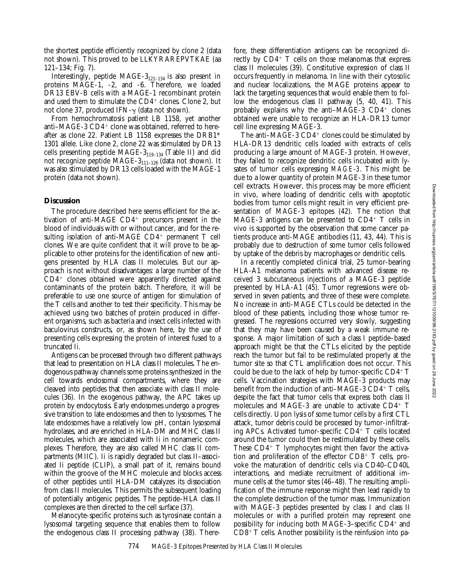the shortest peptide efficiently recognized by clone 2 (data not shown). This proved to be LLKYRAREPVTKAE (aa 121–134; Fig. 7).

Interestingly, peptide  $\text{MAGE-3}_{121-134}$  is also present in proteins MAGE-1, -2, and -6. Therefore, we loaded DR13 EBV-B cells with a MAGE-1 recombinant protein and used them to stimulate the  $CD4<sup>+</sup>$  clones. Clone 2, but not clone 37, produced IFN- $\gamma$  (data not shown).

From hemochromatosis patient LB 1158, yet another anti–MAGE-3  $CD4^+$  clone was obtained, referred to hereafter as clone 22. Patient LB 1158 expresses the DRB1\* 1301 allele. Like clone 2, clone 22 was stimulated by DR13 cells presenting peptide MAGE- $3_{119-134}$  (Table II) and did not recognize peptide MAGE-3<sub>111-126</sub> (data not shown). It was also stimulated by DR13 cells loaded with the MAGE-1 protein (data not shown).

### **Discussion**

The procedure described here seems efficient for the activation of anti-MAGE  $CD4^+$  precursors present in the blood of individuals with or without cancer, and for the resulting isolation of anti-MAGE  $CD4^+$  permanent T cell clones. We are quite confident that it will prove to be applicable to other proteins for the identification of new antigens presented by HLA class II molecules. But our approach is not without disadvantages: a large number of the  $CD4<sup>+</sup>$  clones obtained were apparently directed against contaminants of the protein batch. Therefore, it will be preferable to use one source of antigen for stimulation of the T cells and another to test their specificity. This may be achieved using two batches of protein produced in different organisms, such as bacteria and insect cells infected with baculovirus constructs, or, as shown here, by the use of presenting cells expressing the protein of interest fused to a truncated Ii.

Antigens can be processed through two different pathways that lead to presentation on HLA class II molecules. The endogenous pathway channels some proteins synthesized in the cell towards endosomal compartments, where they are cleaved into peptides that then associate with class II molecules (36). In the exogenous pathway, the APC takes up protein by endocytosis. Early endosomes undergo a progressive transition to late endosomes and then to lysosomes. The late endosomes have a relatively low pH, contain lysosomal hydrolases, and are enriched in HLA-DM and MHC class II molecules, which are associated with Ii in nonameric complexes. Therefore, they are also called MHC class II compartments (MIIC). Ii is rapidly degraded but class II–associated Ii peptide (CLIP), a small part of it, remains bound within the groove of the MHC molecule and blocks access of other peptides until HLA-DM catalyzes its dissociation from class II molecules. This permits the subsequent loading of potentially antigenic peptides. The peptide–HLA class II complexes are then directed to the cell surface (37).

Melanocyte-specific proteins such as tyrosinase contain a lysosomal targeting sequence that enables them to follow the endogenous class II processing pathway (38). Therefore, these differentiation antigens can be recognized directly by  $CD4^+$  T cells on those melanomas that express class II molecules (39). Constitutive expression of class II occurs frequently in melanoma. In line with their cytosolic and nuclear localizations, the MAGE proteins appear to lack the targeting sequences that would enable them to follow the endogenous class II pathway (5, 40, 41). This probably explains why the anti–MAGE-3  $CD4^+$  clones obtained were unable to recognize an HLA-DR13 tumor cell line expressing MAGE-3.

The anti–MAGE-3  $CD4^+$  clones could be stimulated by HLA-DR13 dendritic cells loaded with extracts of cells producing a large amount of MAGE-3 protein. However, they failed to recognize dendritic cells incubated with lysates of tumor cells expressing *MAGE-3*. This might be due to a lower quantity of protein MAGE-3 in these tumor cell extracts. However, this process may be more efficient in vivo, where loading of dendritic cells with apoptotic bodies from tumor cells might result in very efficient presentation of MAGE-3 epitopes (42). The notion that MAGE-3 antigens can be presented to  $CD4^+$  T cells in vivo is supported by the observation that some cancer patients produce anti-MAGE antibodies (11, 43, 44). This is probably due to destruction of some tumor cells followed by uptake of the debris by macrophages or dendritic cells.

In a recently completed clinical trial, 25 tumor-bearing HLA-A1 melanoma patients with advanced disease received 3 subcutaneous injections of a MAGE-3 peptide presented by HLA-A1 (45). Tumor regressions were observed in seven patients, and three of these were complete. No increase in anti-MAGE CTLs could be detected in the blood of these patients, including those whose tumor regressed. The regressions occurred very slowly, suggesting that they may have been caused by a weak immune response. A major limitation of such a class I peptide–based approach might be that the CTLs elicited by the peptide reach the tumor but fail to be restimulated properly at the tumor site so that CTL amplification does not occur. This could be due to the lack of help by tumor-specific  $CD4^+T$ cells. Vaccination strategies with MAGE-3 products may benefit from the induction of anti– $MAGE-3 CD4+T$  cells, despite the fact that tumor cells that express both class II molecules and MAGE-3 are unable to activate  $CD4^+$  T cells directly. Upon lysis of some tumor cells by a first CTL attack, tumor debris could be processed by tumor-infiltrating APCs. Activated tumor-specific  $CD4^+$  T cells located around the tumor could then be restimulated by these cells. These  $CD4^+$  T lymphocytes might then favor the activation and proliferation of the effector  $CD8^+$  T cells, provoke the maturation of dendritic cells via CD40–CD40L interactions, and mediate recruitment of additional immune cells at the tumor sites (46–48). The resulting amplification of the immune response might then lead rapidly to the complete destruction of the tumor mass. Immunization with MAGE-3 peptides presented by class I and class II molecules or with a purified protein may represent one possibility for inducing both MAGE-3–specific  $CD4^+$  and  $CD8^+$  T cells. Another possibility is the reinfusion into pa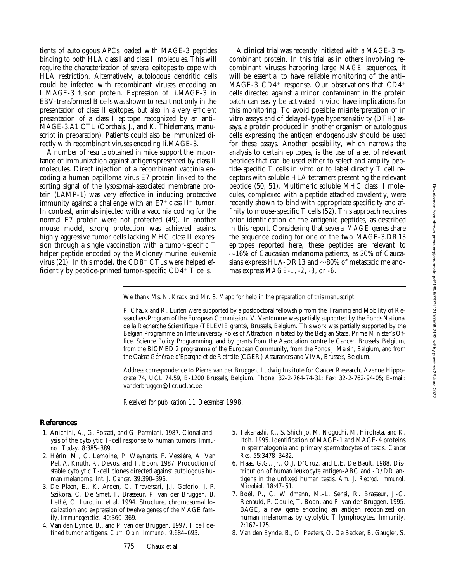tients of autologous APCs loaded with MAGE-3 peptides binding to both HLA class I and class II molecules. This will require the characterization of several epitopes to cope with HLA restriction. Alternatively, autologous dendritic cells could be infected with recombinant viruses encoding an Ii.MAGE-3 fusion protein. Expression of Ii.MAGE-3 in EBV-transformed B cells was shown to result not only in the presentation of class II epitopes, but also in a very efficient presentation of a class I epitope recognized by an anti– MAGE-3.A1 CTL (Corthals, J., and K. Thielemans, manuscript in preparation). Patients could also be immunized directly with recombinant viruses encoding Ii.MAGE-3.

A number of results obtained in mice support the importance of immunization against antigens presented by class II molecules. Direct injection of a recombinant vaccinia encoding a human papilloma virus E7 protein linked to the sorting signal of the lysosomal-associated membrane protein (LAMP-1) was very effective in inducing protective immunity against a challenge with an  $E7^+$  class II<sup>+</sup> tumor. In contrast, animals injected with a vaccinia coding for the normal E7 protein were not protected (49). In another mouse model, strong protection was achieved against highly aggressive tumor cells lacking MHC class II expression through a single vaccination with a tumor-specific T helper peptide encoded by the Moloney murine leukemia virus (21). In this model, the  $CD8^+$  CTLs were helped efficiently by peptide-primed tumor-specific  $CD4^+$  T cells.

A clinical trial was recently initiated with a MAGE-3 recombinant protein. In this trial as in others involving recombinant viruses harboring large *MAGE* sequences, it will be essential to have reliable monitoring of the anti– MAGE-3  $CD4^+$  response. Our observations that  $CD4^+$ cells directed against a minor contaminant in the protein batch can easily be activated in vitro have implications for this monitoring. To avoid possible misinterpretation of in vitro assays and of delayed-type hypersensitivity (DTH) assays, a protein produced in another organism or autologous cells expressing the antigen endogenously should be used for these assays. Another possibility, which narrows the analysis to certain epitopes, is the use of a set of relevant peptides that can be used either to select and amplify peptide-specific T cells in vitro or to label directly T cell receptors with soluble HLA tetramers presenting the relevant peptide (50, 51). Multimeric soluble MHC class II molecules, complexed with a peptide attached covalently, were recently shown to bind with appropriate specificity and affinity to mouse-specific T cells (52). This approach requires prior identification of the antigenic peptides, as described in this report. Considering that several *MAGE* genes share the sequence coding for one of the two MAGE-3.DR13 epitopes reported here, these peptides are relevant to  $\sim$ 16% of Caucasian melanoma patients, as 20% of Caucasians express HLA-DR13 and  $\sim$ 80% of metastatic melanomas express *MAGE-1*, *-2*, *-3*, or -*6*.

We thank Ms. N. Krack and Mr. S. Mapp for help in the preparation of this manuscript.

P. Chaux and R. Luiten were supported by a postdoctoral fellowship from the Training and Mobility of Researchers Program of the European Commission. V. Vantomme was partially supported by the Fonds National de la Recherche Scientifique (TELEVIE grants), Brussels, Belgium. This work was partially supported by the Belgian Programme on Interuniversity Poles of Attraction initiated by the Belgian State, Prime Minister's Office, Science Policy Programming, and by grants from the Association contre le Cancer, Brussels, Belgium, from the BIOMED 2 programme of the European Community, from the Fonds J. Maisin, Belgium, and from the Caisse Générale d'Epargne et de Retraite (CGER)-Assurances and VIVA, Brussels, Belgium.

Address correspondence to Pierre van der Bruggen, Ludwig Institute for Cancer Research, Avenue Hippocrate 74, UCL 74.59, B-1200 Brussels, Belgium. Phone: 32-2-764-74-31; Fax: 32-2-762-94-05; E-mail: vanderbruggen@licr.ucl.ac.be

*Received for publication 11 December 1998.*

# **References**

- 1. Anichini, A., G. Fossati, and G. Parmiani. 1987. Clonal analysis of the cytolytic T-cell response to human tumors. *Immunol. Today.* 8:385–389.
- 2. Hérin, M., C. Lemoine, P. Weynants, F. Vessière, A. Van Pel, A. Knuth, R. Devos, and T. Boon. 1987. Production of stable cytolytic T-cell clones directed against autologous human melanoma. *Int. J. Cancer.* 39:390–396.
- 3. De Plaen, E., K. Arden, C. Traversari, J.J. Gaforio, J.-P. Szikora, C. De Smet, F. Brasseur, P. van der Bruggen, B. Lethé, C. Lurquin, et al. 1994. Structure, chromosomal localization and expression of twelve genes of the MAGE family. *Immunogenetics.* 40:360–369.
- 4. Van den Eynde, B., and P. van der Bruggen. 1997. T cell defined tumor antigens. *Curr. Opin. Immunol.* 9:684–693.
- 5. Takahashi, K., S. Shichijo, M. Noguchi, M. Hirohata, and K. Itoh. 1995. Identification of MAGE-1 and MAGE-4 proteins in spermatogonia and primary spermatocytes of testis. *Cancer Res.* 55:3478–3482.
- 6. Haas, G.G., Jr., O.J. D'Cruz, and L.E. De Bault. 1988. Distribution of human leukocyte antigen-ABC and -D/DR antigens in the unfixed human testis. *Am. J. Reprod. Immunol. Microbiol.* 18:47–51.
- 7. Boël, P., C. Wildmann, M.-L. Sensi, R. Brasseur, J.-C. Renauld, P. Coulie, T. Boon, and P. van der Bruggen. 1995. BAGE, a new gene encoding an antigen recognized on human melanomas by cytolytic T lymphocytes. *Immunity.* 2:167–175.
- 8. Van den Eynde, B., O. Peeters, O. De Backer, B. Gaugler, S.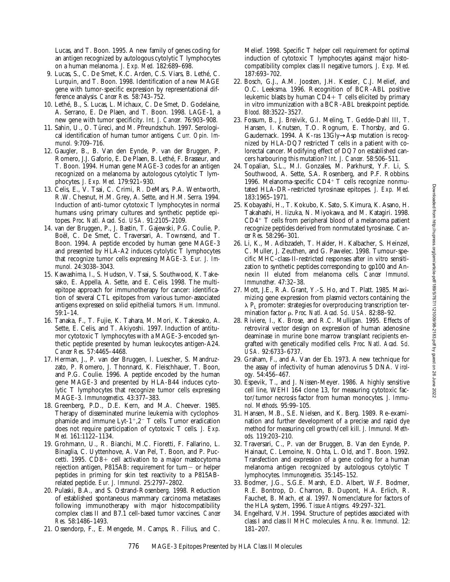Lucas, and T. Boon. 1995. A new family of genes coding for an antigen recognized by autologous cytolytic T lymphocytes on a human melanoma. *J. Exp. Med.* 182:689–698.

- 9. Lucas, S., C. De Smet, K.C. Arden, C.S. Viars, B. Lethé, C. Lurquin, and T. Boon. 1998. Identification of a new MAGE gene with tumor-specific expression by representational difference analysis. *Cancer Res.* 58:743–752.
- 10. Lethé, B., S. Lucas, L. Michaux, C. De Smet, D. Godelaine, A. Serrano, E. De Plaen, and T. Boon. 1998. LAGE-1, a new gene with tumor specificity. *Int. J. Cancer.* 76:903–908.
- 11. Sahin, U., O. Türeci, and M. Pfreundschuh. 1997. Serological identification of human tumor antigens. *Curr. Opin. Immunol.* 9:709–716.
- 12. Gaugler, B., B. Van den Eynde, P. van der Bruggen, P. Romero, J.J. Gaforio, E. De Plaen, B. Lethé, F. Brasseur, and T. Boon. 1994. Human gene MAGE-3 codes for an antigen recognized on a melanoma by autologous cytolytic T lymphocytes. *J. Exp. Med.* 179:921–930.
- 13. Celis, E., V. Tsai, C. Crimi, R. DeMars, P.A. Wentworth, R.W. Chesnut, H.M. Grey, A. Sette, and H.M. Serra. 1994. Induction of anti-tumor cytotoxic T lymphocytes in normal humans using primary cultures and synthetic peptide epitopes. *Proc. Natl. Acad. Sci. USA.* 91:2105–2109.
- 14. van der Bruggen, P., J. Bastin, T. Gajewski, P.G. Coulie, P. Boël, C. De Smet, C. Traversari, A. Townsend, and T. Boon. 1994. A peptide encoded by human gene MAGE-3 and presented by HLA-A2 induces cytolytic T lymphocytes that recognize tumor cells expressing MAGE-3. *Eur. J. Immunol.* 24:3038–3043.
- 15. Kawashima, I., S. Hudson, V. Tsai, S. Southwood, K. Takesako, E. Appella, A. Sette, and E. Celis. 1998. The multiepitope approach for immunotherapy for cancer: identification of several CTL epitopes from various tumor-associated antigens expressed on solid epithelial tumors. *Hum. Immunol.* 59:1–14.
- 16. Tanaka, F., T. Fujie, K. Tahara, M. Mori, K. Takesako, A. Sette, E. Celis, and T. Akiyoshi. 1997. Induction of antitumor cytotoxic T lymphocytes with a MAGE-3-encoded synthetic peptide presented by human leukocytes antigen-A24. *Cancer Res.* 57:4465–4468.
- 17. Herman, J., P. van der Bruggen, I. Luescher, S. Mandruzzato, P. Romero, J. Thonnard, K. Fleischhauer, T. Boon, and P.G. Coulie. 1996. A peptide encoded by the human gene MAGE-3 and presented by HLA-B44 induces cytolytic T lymphocytes that recognize tumor cells expressing MAGE-3. *Immunogenetics.* 43:377–383.
- 18. Greenberg, P.D., D.E. Kern, and M.A. Cheever. 1985. Therapy of disseminated murine leukemia with cyclophosphamide and immune Lyt-1+, $2$ <sup>-</sup> T cells. Tumor eradication does not require participation of cytotoxic T cells. *J. Exp. Med.* 161:1122–1134.
- 19. Grohmann, U., R. Bianchi, M.C. Fioretti, F. Fallarino, L. Binaglia, C. Uyttenhove, A. Van Pel, T. Boon, and P. Puccetti. 1995.  $CD8+$  cell activation to a major mastocytoma rejection antigen, P815AB: requirement for tum  $-$  or helper peptides in priming for skin test reactivity to a P815ABrelated peptide. *Eur. J. Immunol.* 25:2797–2802.
- 20. Pulaski, B.A., and S. Ostrand-Rosenberg. 1998. Reduction of established spontaneous mammary carcinoma metastases following immunotherapy with major histocompatibility complex class II and B7.1 cell-based tumor vaccines. *Cancer Res.* 58:1486–1493.
- 21. Ossendorp, F., E. Mengede, M. Camps, R. Filius, and C.

Melief. 1998. Specific T helper cell requirement for optimal induction of cytotoxic T lymphocytes against major histocompatibility complex class II negative tumors. *J. Exp. Med.* 187:693–702.

- 22. Bosch, G.J., A.M. Joosten, J.H. Kessler, C.J. Melief, and O.C. Leeksma. 1996. Recognition of BCR-ABL positive leukemic blasts by human  $CD4+T$  cells elicited by primary in vitro immunization with a BCR-ABL breakpoint peptide. *Blood.* 88:3522–3527.
- 23. Fossum, B., J. Breivik, G.I. Meling, T. Gedde-Dahl III, T. Hansen, I. Knutsen, T.O. Rognum, E. Thorsby, and G. Gaudernack. 1994. A K-*ras* 13Gly→Asp mutation is recognized by HLA-DQ7 restricted T cells in a patient with colorectal cancer. Modifying effect of DQ7 on established cancers harbouring this mutation? *Int. J. Cancer.* 58:506–511.
- 24. Topalian, S.L., M.I. Gonzales, M. Parkhurst, Y.F. Li, S. Southwood, A. Sette, S.A. Rosenberg, and P.F. Robbins. 1996. Melanoma-specific  $CD4+T$  cells recognize nonmutated HLA-DR–restricted tyrosinase epitopes. *J. Exp. Med.* 183:1965–1971.
- 25. Kobayashi, H., T. Kokubo, K. Sato, S. Kimura, K. Asano, H. Takahashi, H. Iizuka, N. Miyokawa, and M. Katagiri. 1998.  $CD4$ <sup>+</sup> T cells from peripheral blood of a melanoma patient recognize peptides derived from nonmutated tyrosinase. *Cancer Res.* 58:296–301.
- 26. Li, K., M. Adibzadeh, T. Halder, H. Kalbacher, S. Heinzel, C. Muller, J. Zeuthen, and G. Pawelec. 1998. Tumour-specific MHC-class-II-restricted responses after in vitro sensitization to synthetic peptides corresponding to gp100 and Annexin II eluted from melanoma cells. *Cancer Immunol. Immunother.* 47:32–38.
- 27. Mott, J.E., R.A. Grant, Y.-S. Ho, and T. Platt. 1985. Maximizing gene expression from plasmid vectors containing the  $\lambda$  P<sub>L</sub> promoter: strategies for overproducing transcription termination factor p. Proc. Natl. Acad. Sci. USA. 82:88-92.
- 28. Riviere, I., K. Brose, and R.C. Mulligan. 1995. Effects of retroviral vector design on expression of human adenosine deaminase in murine bone marrow transplant recipients engrafted with genetically modified cells. *Proc. Natl. Acad. Sci. USA.* 92:6733–6737.
- 29. Graham, F., and A. Van der Eb. 1973. A new technique for the assay of infectivity of human adenovirus 5 DNA. *Virology.* 54:456–467.
- 30. Espevik, T., and J. Nissen-Meyer. 1986. A highly sensitive cell line, WEHI 164 clone 13, for measuring cytotoxic factor/tumor necrosis factor from human monocytes. *J. Immunol. Methods.* 95:99–105.
- 31. Hansen, M.B., S.E. Nielsen, and K. Berg. 1989. Re-examination and further development of a precise and rapid dye method for measuring cell growth/cell kill. *J. Immunol. Methods.* 119:203–210.
- 32. Traversari, C., P. van der Bruggen, B. Van den Eynde, P. Hainaut, C. Lemoine, N. Ohta, L. Old, and T. Boon. 1992. Transfection and expression of a gene coding for a human melanoma antigen recognized by autologous cytolytic T lymphocytes. *Immunogenetics.* 35:145–152.
- 33. Bodmer, J.G., S.G.E. Marsh, E.D. Albert, W.F. Bodmer, R.E. Bontrop, D. Charron, B. Dupont, H.A. Erlich, R. Fauchet, B. Mach, et al. 1997. Nomenclature for factors of the HLA system, 1996. *Tissue Antigens.* 49:297–321.
- 34. Engelhard, V.H. 1994. Structure of peptides associated with class I and class II MHC molecules. *Annu. Rev. Immunol.* 12: 181–207.